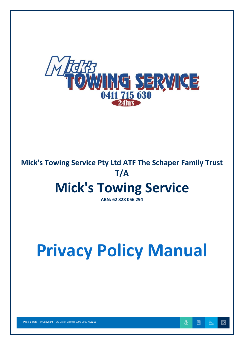

## **Mick's Towing Service Pty Ltd ATF The Schaper Family Trust T/A Mick's Towing Service**

**ABN: 62 828 056 294**

# **Privacy Policy Manual**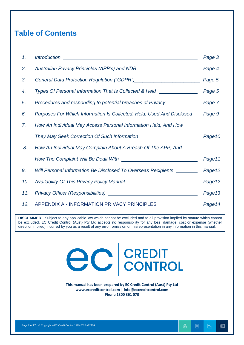## **Table of Contents**

| 1.  | <i><b>Introduction</b></i><br><u> 1989 - Andrea Andrew Maria (h. 1989).</u>      | Page 3  |
|-----|----------------------------------------------------------------------------------|---------|
| 2.  | Australian Privacy Principles (APP's) and NDB __________________________________ | Page 4  |
| 3.  |                                                                                  | Page 5  |
| 4.  | Types Of Personal Information That Is Collected & Held _________________________ | Page 5  |
| 5.  | Procedures and responding to potential breaches of Privacy <b>Exercise 2.1</b>   | Page 7  |
| 6.  | Purposes For Which Information Is Collected, Held, Used And Disclosed _          | Page 9  |
| 7.  | How An Individual May Access Personal Information Held, And How                  |         |
|     | They May Seek Correction Of Such Information ___________________________________ | Page10  |
| 8.  | How An Individual May Complain About A Breach Of The APP, And                    |         |
|     |                                                                                  | Page11  |
| 9.  | Will Personal Information Be Disclosed To Overseas Recipients _________          | Page 12 |
| 10. |                                                                                  | Page 12 |
| 11. |                                                                                  | Page13  |
| 12. | APPENDIX A - INFORMATION PRIVACY PRINCIPLES                                      | Page14  |

**DISCLAIMER:** Subject to any applicable law which cannot be excluded and to all provision implied by statute which cannot be excluded, EC Credit Control (Aust) Pty Ltd accepts no responsibility for any loss, damage, cost or expense (whether direct or implied) incurred by you as a result of any error, omission or misrepresentation in any information in this manual.

**This manual has been prepared by EC Credit Control (Aust) Pty Ltd www.eccreditcontrol.com | info@eccreditcontrol.com Phone 1300 361 070**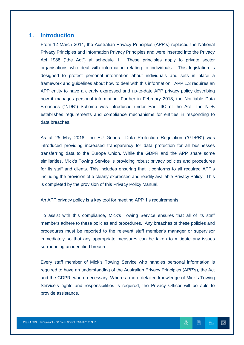## **1. Introduction**

From 12 March 2014, the Australian Privacy Principles (APP's) replaced the National Privacy Principles and Information Privacy Principles and were inserted into the Privacy Act 1988 ("the Act") at schedule 1. These principles apply to private sector organisations who deal with information relating to individuals. This legislation is designed to protect personal information about individuals and sets in place a framework and guidelines about how to deal with this information. APP 1.3 requires an APP entity to have a clearly expressed and up-to-date APP privacy policy describing how it manages personal information. Further in February 2018, the Notifiable Data Breaches ("NDB") Scheme was introduced under Part IIIC of the Act. The NDB establishes requirements and compliance mechanisms for entities in responding to data breaches.

As at 25 May 2018, the EU General Data Protection Regulation ("GDPR") was introduced providing increased transparency for data protection for all businesses transferring data to the Europe Union. While the GDPR and the APP share some similarities, Mick's Towing Service is providing robust privacy policies and procedures for its staff and clients. This includes ensuring that it conforms to all required APP's including the provision of a clearly expressed and readily available Privacy Policy. This is completed by the provision of this Privacy Policy Manual.

An APP privacy policy is a key tool for meeting APP 1's requirements.

To assist with this compliance, Mick's Towing Service ensures that all of its staff members adhere to these policies and procedures. Any breaches of these policies and procedures must be reported to the relevant staff member's manager or supervisor immediately so that any appropriate measures can be taken to mitigate any issues surrounding an identified breach.

Every staff member of Mick's Towing Service who handles personal information is required to have an understanding of the Australian Privacy Principles (APP's), the Act and the GDPR, where necessary. Where a more detailed knowledge of Mick's Towing Service's rights and responsibilities is required, the Privacy Officer will be able to provide assistance.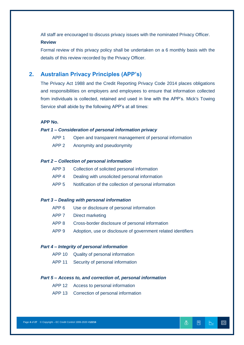All staff are encouraged to discuss privacy issues with the nominated Privacy Officer. **Review**

Formal review of this privacy policy shall be undertaken on a 6 monthly basis with the details of this review recorded by the Privacy Officer.

## **2. Australian Privacy Principles (APP's)**

The Privacy Act 1988 and the Credit Reporting Privacy Code 2014 places obligations and responsibilities on employers and employees to ensure that information collected from individuals is collected, retained and used in line with the APP's. Mick's Towing Service shall abide by the following APP's at all times:

#### **APP No.**

#### *Part 1 – Consideration of personal information privacy*

- APP 1 Open and transparent management of personal information
- APP 2 Anonymity and pseudonymity

#### *Part 2 – Collection of personal information*

- APP 3 Collection of solicited personal information
- APP 4 Dealing with unsolicited personal information
- APP 5 Notification of the collection of personal information

#### *Part 3 – Dealing with personal information*

- APP 6 Use or disclosure of personal information
- APP 7 Direct marketing
- APP 8 Cross-border disclosure of personal information
- APP 9 Adoption, use or disclosure of government related identifiers

#### *Part 4 – Integrity of personal information*

- APP 10 Quality of personal information
- APP 11 Security of personal information

#### *Part 5 – Access to, and correction of, personal information*

- APP 12 Access to personal information
- APP 13 Correction of personal information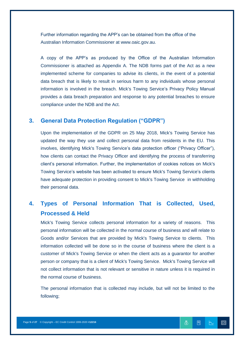Further information regarding the APP's can be obtained from the office of the Australian Information Commissioner at www.oaic.gov.au.

A copy of the APP's as produced by the Office of the Australian Information Commissioner is attached as Appendix A. The NDB forms part of the Act as a new implemented scheme for companies to advise its clients, in the event of a potential data breach that is likely to result in serious harm to any individuals whose personal information is involved in the breach. Mick's Towing Service's Privacy Policy Manual provides a data breach preparation and response to any potential breaches to ensure compliance under the NDB and the Act.

#### **3. General Data Protection Regulation ("GDPR")**

Upon the implementation of the GDPR on 25 May 2018, Mick's Towing Service has updated the way they use and collect personal data from residents in the EU. This involves, identifying Mick's Towing Service's data protection officer ("Privacy Officer"), how clients can contact the Privacy Officer and identifying the process of transferring client's personal information. Further, the implementation of cookies notices on Mick's Towing Service's website has been activated to ensure Mick's Towing Service's clients have adequate protection in providing consent to Mick's Towing Service in withholding their personal data.

## **4. Types of Personal Information That is Collected, Used, Processed & Held**

Mick's Towing Service collects personal information for a variety of reasons. This personal information will be collected in the normal course of business and will relate to Goods and/or Services that are provided by Mick's Towing Service to clients. This information collected will be done so in the course of business where the client is a customer of Mick's Towing Service or when the client acts as a guarantor for another person or company that is a client of Mick's Towing Service. Mick's Towing Service will not collect information that is not relevant or sensitive in nature unless it is required in the normal course of business.

The personal information that is collected may include, but will not be limited to the following;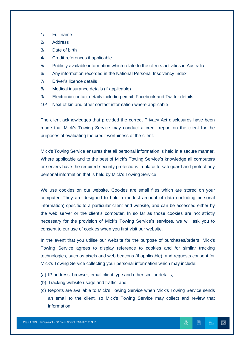- 1/ Full name
- 2/ Address
- 3/ Date of birth
- 4/ Credit references if applicable
- 5/ Publicly available information which relate to the clients activities in Australia
- 6/ Any information recorded in the National Personal Insolvency Index
- 7/ Driver's licence details
- 8/ Medical insurance details (if applicable)
- 9/ Electronic contact details including email, Facebook and Twitter details
- 10/ Next of kin and other contact information where applicable

The client acknowledges that provided the correct Privacy Act disclosures have been made that Mick's Towing Service may conduct a credit report on the client for the purposes of evaluating the credit worthiness of the client.

Mick's Towing Service ensures that all personal information is held in a secure manner. Where applicable and to the best of Mick's Towing Service's knowledge all computers or servers have the required security protections in place to safeguard and protect any personal information that is held by Mick's Towing Service.

We use cookies on our website. Cookies are small files which are stored on your computer. They are designed to hold a modest amount of data (including personal information) specific to a particular client and website, and can be accessed either by the web server or the client's computer. In so far as those cookies are not strictly necessary for the provision of Mick's Towing Service's services, we will ask you to consent to our use of cookies when you first visit our website.

In the event that you utilise our website for the purpose of purchases/orders, Mick's Towing Service agrees to display reference to cookies and /or similar tracking technologies, such as pixels and web beacons (if applicable), and requests consent for Mick's Towing Service collecting your personal information which may include:

- (a) IP address, browser, email client type and other similar details;
- (b) Tracking website usage and traffic; and
- (c) Reports are available to Mick's Towing Service when Mick's Towing Service sends an email to the client, so Mick's Towing Service may collect and review that information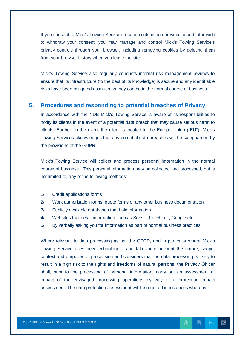If you consent to Mick's Towing Service's use of cookies on our website and later wish to withdraw your consent, you may manage and control Mick's Towing Service's privacy controls through your browser, including removing cookies by deleting them from your browser history when you leave the site.

Mick's Towing Service also regularly conducts internal risk management reviews to ensure that its infrastructure (to the best of its knowledge) is secure and any identifiable risks have been mitigated as much as they can be in the normal course of business.

#### **5. Procedures and responding to potential breaches of Privacy**

In accordance with the NDB Mick's Towing Service is aware of its responsibilities to notify its clients in the event of a potential data breach that may cause serious harm to clients. Further, in the event the client is located in the Europe Union ("EU"), Mick's Towing Service acknowledges that any potential data breaches will be safeguarded by the provisions of the GDPR.

Mick's Towing Service will collect and process personal information in the normal course of business. This personal information may be collected and processed, but is not limited to, any of the following methods;

- 1/ Credit applications forms
- 2/ Work authorisation forms, quote forms or any other business documentation
- 3/ Publicly available databases that hold information
- 4/ Websites that detail information such as Sensis, Facebook, Google etc
- 5/ By verbally asking you for information as part of normal business practices

Where relevant to data processing as per the GDPR, and in particular where Mick's Towing Service uses new technologies, and takes into account the nature, scope, context and purposes of processing and considers that the data processing is likely to result in a high risk to the rights and freedoms of natural persons, the Privacy Officer shall, prior to the processing of personal information, carry out an assessment of impact of the envisaged processing operations by way of a protection impact assessment. The data protection assessment will be required in instances whereby: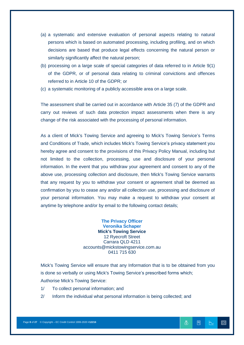- (a) a systematic and extensive evaluation of personal aspects relating to natural persons which is based on automated processing, including profiling, and on which decisions are based that produce legal effects concerning the natural person or similarly significantly affect the natural person;
- (b) processing on a large scale of special categories of data referred to in [Article 9\(](https://gdpr-info.eu/art-9-gdpr/)1) of the GDPR, or of personal data relating to criminal convictions and offences referred to in [Article 10](https://gdpr-info.eu/art-10-gdpr/) of the GDPR; or
- (c) a systematic monitoring of a publicly accessible area on a large scale.

The assessment shall be carried out in accordance with Article 35 (7) of the GDPR and carry out reviews of such data protection impact assessments when there is any change of the risk associated with the processing of personal information.

As a client of Mick's Towing Service and agreeing to Mick's Towing Service's Terms and Conditions of Trade, which includes Mick's Towing Service's privacy statement you hereby agree and consent to the provisions of this Privacy Policy Manual, including but not limited to the collection, processing, use and disclosure of your personal information. In the event that you withdraw your agreement and consent to any of the above use, processing collection and disclosure, then Mick's Towing Service warrants that any request by you to withdraw your consent or agreement shall be deemed as confirmation by you to cease any and/or all collection use, processing and disclosure of your personal information. You may make a request to withdraw your consent at anytime by telephone and/or by email to the following contact details;

> **The Privacy Officer Veronika Schaper Mick's Towing Service** 12 Ryecroft Street Carrara QLD 4211 accounts@mickstowingservice.com.au 0411 715 630

Mick's Towing Service will ensure that any Information that is to be obtained from you is done so verbally or using Mick's Towing Service's prescribed forms which; Authorise Mick's Towing Service:

- 1/ To collect personal information; and
- 2/ Inform the individual what personal information is being collected; and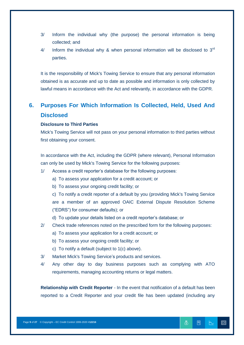- 3/ Inform the individual why (the purpose) the personal information is being collected; and
- 4/ Inform the individual why & when personal information will be disclosed to  $3<sup>rd</sup>$ parties.

It is the responsibility of Mick's Towing Service to ensure that any personal information obtained is as accurate and up to date as possible and information is only collected by lawful means in accordance with the Act and relevantly, in accordance with the GDPR.

## **6. Purposes For Which Information Is Collected, Held, Used And Disclosed**

#### **Disclosure to Third Parties**

Mick's Towing Service will not pass on your personal information to third parties without first obtaining your consent.

In accordance with the Act, including the GDPR (where relevant), Personal Information can only be used by Mick's Towing Service for the following purposes:

- 1/ Access a credit reporter's database for the following purposes:
	- a) To assess your application for a credit account; or
	- b) To assess your ongoing credit facility; or

c) To notify a credit reporter of a default by you (providing Mick's Towing Service are a member of an approved OAIC External Dispute Resolution Scheme ("EDRS") for consumer defaults); or

- d) To update your details listed on a credit reporter's database; or
- 2/ Check trade references noted on the prescribed form for the following purposes:
	- a) To assess your application for a credit account; or
	- b) To assess your ongoing credit facility; or
	- c) To notify a default (subject to 1(c) above).
- 3/ Market Mick's Towing Service's products and services.
- 4/ Any other day to day business purposes such as complying with ATO requirements, managing accounting returns or legal matters.

**Relationship with Credit Reporter** - In the event that notification of a default has been reported to a Credit Reporter and your credit file has been updated (including any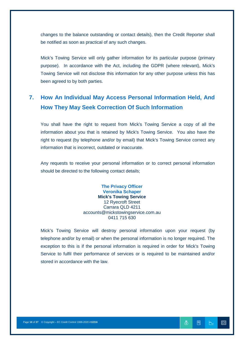changes to the balance outstanding or contact details), then the Credit Reporter shall be notified as soon as practical of any such changes.

Mick's Towing Service will only gather information for its particular purpose (primary purpose). In accordance with the Act, including the GDPR (where relevant), Mick's Towing Service will not disclose this information for any other purpose unless this has been agreed to by both parties.

## **7. How An Individual May Access Personal Information Held, And How They May Seek Correction Of Such Information**

You shall have the right to request from Mick's Towing Service a copy of all the information about you that is retained by Mick's Towing Service. You also have the right to request (by telephone and/or by email) that Mick's Towing Service correct any information that is incorrect, outdated or inaccurate.

Any requests to receive your personal information or to correct personal information should be directed to the following contact details;

> **The Privacy Officer Veronika Schaper Mick's Towing Service** 12 Ryecroft Street Carrara QLD 4211 accounts@mickstowingservice.com.au 0411 715 630

Mick's Towing Service will destroy personal information upon your request (by telephone and/or by email) or when the personal information is no longer required. The exception to this is if the personal information is required in order for Mick's Towing Service to fulfil their performance of services or is required to be maintained and/or stored in accordance with the law.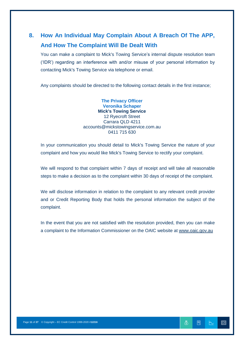## **8. How An Individual May Complain About A Breach Of The APP, And How The Complaint Will Be Dealt With**

You can make a complaint to Mick's Towing Service's internal dispute resolution team ('IDR') regarding an interference with and/or misuse of your personal information by contacting Mick's Towing Service via telephone or email.

Any complaints should be directed to the following contact details in the first instance;

**The Privacy Officer Veronika Schaper Mick's Towing Service** 12 Ryecroft Street Carrara QLD 4211 accounts@mickstowingservice.com.au 0411 715 630

In your communication you should detail to Mick's Towing Service the nature of your complaint and how you would like Mick's Towing Service to rectify your complaint.

We will respond to that complaint within 7 days of receipt and will take all reasonable steps to make a decision as to the complaint within 30 days of receipt of the complaint.

We will disclose information in relation to the complaint to any relevant credit provider and or Credit Reporting Body that holds the personal information the subject of the complaint.

In the event that you are not satisfied with the resolution provided, then you can make a complaint to the Information Commissioner on the OAIC website at [www.oaic.gov.au](http://www.oaic.gov.au/)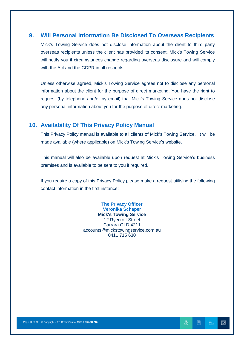#### **9. Will Personal Information Be Disclosed To Overseas Recipients**

Mick's Towing Service does not disclose information about the client to third party overseas recipients unless the client has provided its consent. Mick's Towing Service will notify you if circumstances change regarding overseas disclosure and will comply with the Act and the GDPR in all respects.

Unless otherwise agreed, Mick's Towing Service agrees not to disclose any personal information about the client for the purpose of direct marketing. You have the right to request (by telephone and/or by email) that Mick's Towing Service does not disclose any personal information about you for the purpose of direct marketing.

#### **10. Availability Of This Privacy Policy Manual**

This Privacy Policy manual is available to all clients of Mick's Towing Service. It will be made available (where applicable) on Mick's Towing Service's website.

This manual will also be available upon request at Mick's Towing Service's business premises and is available to be sent to you if required.

If you require a copy of this Privacy Policy please make a request utilising the following contact information in the first instance:

> **The Privacy Officer Veronika Schaper Mick's Towing Service** 12 Ryecroft Street Carrara QLD 4211 accounts@mickstowingservice.com.au 0411 715 630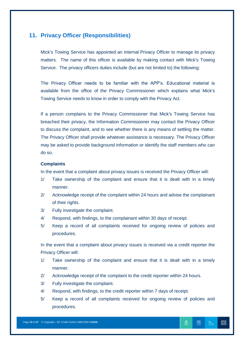#### **11. Privacy Officer (Responsibilities)**

Mick's Towing Service has appointed an internal Privacy Officer to manage its privacy matters. The name of this officer is available by making contact with Mick's Towing Service. The privacy officers duties include (but are not limited to) the following:

The Privacy Officer needs to be familiar with the APP's. Educational material is available from the office of the Privacy Commissioner which explains what Mick's Towing Service needs to know in order to comply with the Privacy Act.

If a person complains to the Privacy Commissioner that Mick's Towing Service has breached their privacy, the Information Commissioner may contact the Privacy Officer to discuss the complaint, and to see whether there is any means of settling the matter. The Privacy Officer shall provide whatever assistance is necessary. The Privacy Officer may be asked to provide background information or identify the staff members who can do so.

#### **Complaints**

In the event that a complaint about privacy issues is received the Privacy Officer will:

- 1/ Take ownership of the complaint and ensure that it is dealt with in a timely manner.
- 2/ Acknowledge receipt of the complaint within 24 hours and advise the complainant of their rights.
- 3/ Fully investigate the complaint.
- 4/ Respond, with findings, to the complainant within 30 days of receipt.
- 5/ Keep a record of all complaints received for ongoing review of policies and procedures.

In the event that a complaint about privacy issues is received via a credit reporter the Privacy Officer will:

- 1/ Take ownership of the complaint and ensure that it is dealt with in a timely manner.
- 2/ Acknowledge receipt of the complaint to the credit reporter within 24 hours.
- 3/ Fully investigate the complaint.
- 4/ Respond, with findings, to the credit reporter within 7 days of receipt.
- 5/ Keep a record of all complaints received for ongoing review of policies and procedures.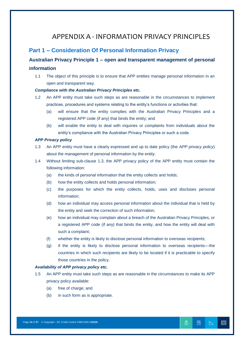## APPENDIX A - INFORMATION PRIVACY PRINCIPLES

### **Part 1 – Consideration Of Personal Information Privacy**

## **Australian Privacy Principle 1 – open and transparent management of personal information**

1.1 The object of this principle is to ensure that APP entities manage personal information in an open and transparent way.

#### *Compliance with the Australian Privacy Principles etc.*

- 1.2 An APP entity must take such steps as are reasonable in the circumstances to implement practices, procedures and systems relating to the entity's functions or activities that:
	- (a) will ensure that the entity complies with the Australian Privacy Principles and a registered APP code (if any) that binds the entity; and
	- (b) will enable the entity to deal with inquiries or complaints from individuals about the entity's compliance with the Australian Privacy Principles or such a code.

#### *APP Privacy policy*

- 1.3 An APP entity must have a clearly expressed and up to date policy (the *APP privacy policy*) about the management of personal information by the entity.
- 1.4 Without limiting sub-clause 1.3, the APP privacy policy of the APP entity must contain the following information:
	- (a) the kinds of personal information that the entity collects and holds;
	- (b) how the entity collects and holds personal information;
	- (c) the purposes for which the entity collects, holds, uses and discloses personal information;
	- (d) how an individual may access personal information about the individual that is held by the entity and seek the correction of such information;
	- (e) how an individual may complain about a breach of the Australian Privacy Principles, or a registered APP code (if any) that binds the entity, and how the entity will deal with such a complaint;
	- (f) whether the entity is likely to disclose personal information to overseas recipients;
	- (g) if the entity is likely to disclose personal information to overseas recipients—the countries in which such recipients are likely to be located if it is practicable to specify those countries in the policy.

#### *Availability of APP privacy policy etc.*

- 1.5 An APP entity must take such steps as are reasonable in the circumstances to make its APP privacy policy available:
	- (a) free of charge; and
	- (b) in such form as is appropriate.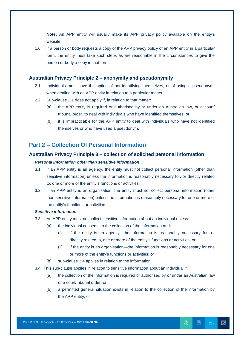**Note:** An APP entity will usually make its APP privacy policy available on the entity's website.

1.6 If a person or body requests a copy of the APP privacy policy of an APP entity in a particular form, the entity must take such steps as are reasonable in the circumstances to give the person or body a copy in that form.

#### **Australian Privacy Principle 2 – anonymity and pseudonymity**

- 2.1 Individuals must have the option of not identifying themselves, or of using a pseudonym, when dealing with an APP entity in relation to a particular matter.
- 2.2 Sub-clause 2.1 does not apply if, in relation to that matter:
	- (a) the APP entity is required or authorised by or under an Australian law, or a court/ tribunal order, to deal with individuals who have identified themselves; or
	- (b) it is impracticable for the APP entity to deal with individuals who have not identified themselves or who have used a pseudonym.

#### **Part 2 – Collection Of Personal Information**

#### **Australian Privacy Principle 3 – collection of solicited personal information**

#### *Personal information other than sensitive information*

- 3.1 If an APP entity is an agency, the entity must not collect personal information (other than sensitive information) unless the information is reasonably necessary for, or directly related to, one or more of the entity's functions or activities.
- 3.2 If an APP entity is an organisation, the entity must not collect personal information (other than sensitive information) unless the information is reasonably necessary for one or more of the entity's functions or activities.

#### *Sensitive information*

- 3.3 An APP entity must not collect sensitive information about an individual unless:
	- (a) the individual consents to the collection of the information and:
		- (i) if the entity is an agency—the information is reasonably necessary for, or directly related to, one or more of the entity's functions or activities; or
		- (ii) if the entity is an organisation—the information is reasonably necessary for one or more of the entity's functions or activities; or
	- (b) sub-clause 3.4 applies in relation to the information.
- 3.4 This sub-clause applies in relation to sensitive information about an individual if:
	- (a) the collection of the information is required or authorised by or under an Australian law or a court/tribunal order; or
	- (b) a permitted general situation exists in relation to the collection of the information by the APP entity; or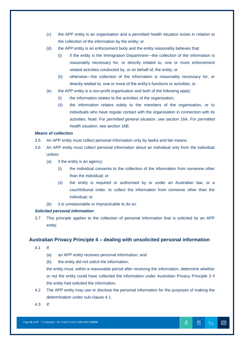- (c) the APP entity is an organisation and a permitted health situation exists in relation to the collection of the information by the entity; or
- (d) the APP entity is an enforcement body and the entity reasonably believes that:
	- (i) if the entity is the Immigration Department—the collection of the information is reasonably necessary for, or directly related to, one or more enforcement related activities conducted by, or on behalf of, the entity; or
	- (ii) otherwise—the collection of the information is reasonably necessary for, or directly related to, one or more of the entity's functions or activities; or
- (e) the APP entity is a non-profit organisation and both of the following apply:
	- (i) the information relates to the activities of the organisation;
	- (ii) the information relates solely to the members of the organisation, or to individuals who have regular contact with the organisation in connection with its activities. Note: For *permitted general situation*, see section 16A. For *permitted health situation*, see section 16B.

#### *Means of collection*

3.5 An APP entity must collect personal information only by lawful and fair means.

- 3.6 An APP entity must collect personal information about an individual only from the individual unless:
	- (a) if the entity is an agency:
		- (i) the individual consents to the collection of the information from someone other than the individual; or
		- (ii) the entity is required or authorised by or under an Australian law, or a court/tribunal order, to collect the information from someone other than the individual; or
	- (b) it is unreasonable or impracticable to do so.

#### *Solicited personal information*

3.7 This principle applies to the collection of personal information that is solicited by an APP entity.

#### **Australian Privacy Principle 4 – dealing with unsolicited personal information**

- 4.1 If:
	- (a) an APP entity receives personal information; and
	- (b) the entity did not solicit the information;

the entity must, within a reasonable period after receiving the information, determine whether or not the entity could have collected the information under Australian Privacy Principle 3 if the entity had solicited the information.

- 4.2 The APP entity may use or disclose the personal information for the purposes of making the determination under sub-clause 4.1.
- 4.3 If: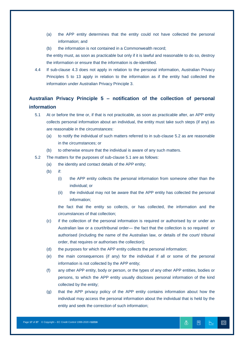- (a) the APP entity determines that the entity could not have collected the personal information; and
- (b) the information is not contained in a Commonwealth record;

the entity must, as soon as practicable but only if it is lawful and reasonable to do so, destroy the information or ensure that the information is de-identified.

4.4 If sub-clause 4.3 does not apply in relation to the personal information, Australian Privacy Principles 5 to 13 apply in relation to the information as if the entity had collected the information under Australian Privacy Principle 3.

## **Australian Privacy Principle 5 – notification of the collection of personal information**

- 5.1 At or before the time or, if that is not practicable, as soon as practicable after, an APP entity collects personal information about an individual, the entity must take such steps (if any) as are reasonable in the circumstances:
	- (a) to notify the individual of such matters referred to in sub-clause 5.2 as are reasonable in the circumstances; or
	- (b) to otherwise ensure that the individual is aware of any such matters.
- 5.2 The matters for the purposes of sub-clause 5.1 are as follows:
	- (a) the identity and contact details of the APP entity;
	- (b) if:
		- (i) the APP entity collects the personal information from someone other than the individual; or
		- (ii) the individual may not be aware that the APP entity has collected the personal information;

the fact that the entity so collects, or has collected, the information and the circumstances of that collection;

- (c) if the collection of the personal information is required or authorised by or under an Australian law or a court/tribunal order— the fact that the collection is so required or authorised (including the name of the Australian law, or details of the court/ tribunal order, that requires or authorises the collection);
- (d) the purposes for which the APP entity collects the personal information;
- (e) the main consequences (if any) for the individual if all or some of the personal information is not collected by the APP entity;
- (f) any other APP entity, body or person, or the types of any other APP entities, bodies or persons, to which the APP entity usually discloses personal information of the kind collected by the entity;
- (g) that the APP privacy policy of the APP entity contains information about how the individual may access the personal information about the individual that is held by the entity and seek the correction of such information;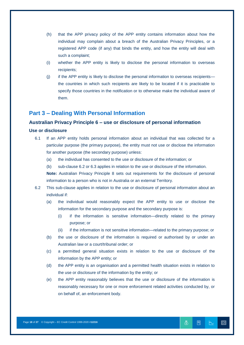- (h) that the APP privacy policy of the APP entity contains information about how the individual may complain about a breach of the Australian Privacy Principles, or a registered APP code (if any) that binds the entity, and how the entity will deal with such a complaint;
- (i) whether the APP entity is likely to disclose the personal information to overseas recipients;
- (i) if the APP entity is likely to disclose the personal information to overseas recipients the countries in which such recipients are likely to be located if it is practicable to specify those countries in the notification or to otherwise make the individual aware of them.

#### **Part 3 – Dealing With Personal Information**

#### **Australian Privacy Principle 6 – use or disclosure of personal information**

#### **Use or disclosure**

- 6.1 If an APP entity holds personal information about an individual that was collected for a particular purpose (the primary purpose), the entity must not use or disclose the information for another purpose (the secondary purpose) unless:
	- (a) the individual has consented to the use or disclosure of the information; or
	- (b) sub-clause 6.2 or 6.3 applies in relation to the use or disclosure of the information.

**Note:** Australian Privacy Principle 8 sets out requirements for the disclosure of personal information to a person who is not in Australia or an external Territory.

- 6.2 This sub-clause applies in relation to the use or disclosure of personal information about an individual if:
	- (a) the individual would reasonably expect the APP entity to use or disclose the information for the secondary purpose and the secondary purpose is:
		- (i) if the information is sensitive information—directly related to the primary purpose; or
		- (ii) if the information is not sensitive information—related to the primary purpose; or
	- (b) the use or disclosure of the information is required or authorised by or under an Australian law or a court/tribunal order; or
	- (c) a permitted general situation exists in relation to the use or disclosure of the information by the APP entity; or
	- (d) the APP entity is an organisation and a permitted health situation exists in relation to the use or disclosure of the information by the entity; or
	- (e) the APP entity reasonably believes that the use or disclosure of the information is reasonably necessary for one or more enforcement related activities conducted by, or on behalf of, an enforcement body.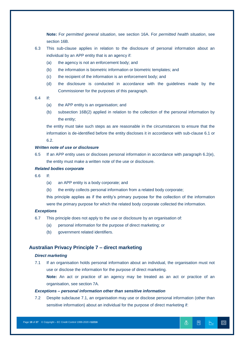**Note:** For *permitted general situation*, see section 16A. For *permitted health situation*, see section 16B.

- 6.3 This sub-clause applies in relation to the disclosure of personal information about an individual by an APP entity that is an agency if:
	- (a) the agency is not an enforcement body; and
	- (b) the information is biometric information or biometric templates; and
	- (c) the recipient of the information is an enforcement body; and
	- (d) the disclosure is conducted in accordance with the guidelines made by the Commissioner for the purposes of this paragraph.

6.4 If:

- (a) the APP entity is an organisation; and
- (b) subsection 16B(2) applied in relation to the collection of the personal information by the entity;

the entity must take such steps as are reasonable in the circumstances to ensure that the information is de-identified before the entity discloses it in accordance with sub-clause 6.1 or 6.2.

#### *Written note of use or disclosure*

6.5 If an APP entity uses or discloses personal information in accordance with paragraph 6.2(e), the entity must make a written note of the use or disclosure.

#### *Related bodies corporate*

- 6.6 If:
	- (a) an APP entity is a body corporate; and
	- (b) the entity collects personal information from a related body corporate;

this principle applies as if the entity's primary purpose for the collection of the information were the primary purpose for which the related body corporate collected the information.

#### *Exceptions*

- 6.7 This principle does not apply to the use or disclosure by an organisation of:
	- (a) personal information for the purpose of direct marketing; or
	- (b) government related identifiers.

#### **Australian Privacy Principle 7 – direct marketing**

#### *Direct marketing*

7.1 If an organisation holds personal information about an individual, the organisation must not use or disclose the information for the purpose of direct marketing.

**Note:** An act or practice of an agency may be treated as an act or practice of an organisation, see section 7A.

#### *Exceptions – personal information other than sensitive information*

7.2 Despite subclause 7.1, an organisation may use or disclose personal information (other than sensitive information) about an individual for the purpose of direct marketing if: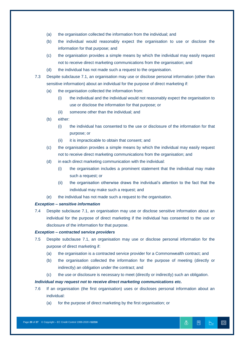- (a) the organisation collected the information from the individual; and
- (b) the individual would reasonably expect the organisation to use or disclose the information for that purpose; and
- (c) the organisation provides a simple means by which the individual may easily request not to receive direct marketing communications from the organisation; and
- (d) the individual has not made such a request to the organisation.
- 7.3 Despite subclause 7.1, an organisation may use or disclose personal information (other than sensitive information) about an individual for the purpose of direct marketing if:
	- (a) the organisation collected the information from:
		- (i) the individual and the individual would not reasonably expect the organisation to use or disclose the information for that purpose; or
		- (ii) someone other than the individual; and
	- (b) either:
		- (i) the individual has consented to the use or disclosure of the information for that purpose; or
		- (ii) it is impracticable to obtain that consent; and
	- (c) the organisation provides a simple means by which the individual may easily request not to receive direct marketing communications from the organisation; and
	- (d) in each direct marketing communication with the individual:
		- (i) the organisation includes a prominent statement that the individual may make such a request; or
		- (ii) the organisation otherwise draws the individual's attention to the fact that the individual may make such a request; and
	- (e) the individual has not made such a request to the organisation.

#### *Exception – sensitive information*

7.4 Despite subclause 7.1, an organisation may use or disclose sensitive information about an individual for the purpose of direct marketing if the individual has consented to the use or disclosure of the information for that purpose.

#### *Exception – contracted service providers*

- 7.5 Despite subclause 7.1, an organisation may use or disclose personal information for the purpose of direct marketing if:
	- (a) the organisation is a contracted service provider for a Commonwealth contract; and
	- (b) the organisation collected the information for the purpose of meeting (directly or indirectly) an obligation under the contract; and
	- (c) the use or disclosure is necessary to meet (directly or indirectly) such an obligation.

#### *Individual may request not to receive direct marketing communications etc.*

- 7.6 If an organisation (the first organisation) uses or discloses personal information about an individual:
	- (a) for the purpose of direct marketing by the first organisation; or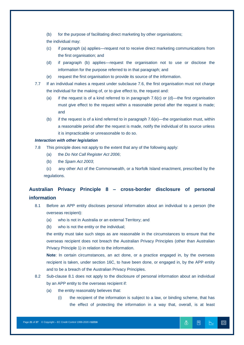(b) for the purpose of facilitating direct marketing by other organisations;

the individual may:

- (c) if paragraph (a) applies—request not to receive direct marketing communications from the first organisation; and
- (d) if paragraph (b) applies—request the organisation not to use or disclose the information for the purpose referred to in that paragraph; and
- (e) request the first organisation to provide its source of the information.
- 7.7 If an individual makes a request under subclause 7.6, the first organisation must not charge the individual for the making of, or to give effect to, the request and:
	- (a) if the request is of a kind referred to in paragraph 7.6(c) or  $(d)$ —the first organisation must give effect to the request within a reasonable period after the request is made; and
	- (b) if the request is of a kind referred to in paragraph  $7.6(e)$ —the organisation must, within a reasonable period after the request is made, notify the individual of its source unless it is impracticable or unreasonable to do so.

#### *Interaction with other legislation*

- 7.8 This principle does not apply to the extent that any of the following apply:
	- (a) the *Do Not Call Register Act 2006*;
	- (b) the *Spam Act 2003*;

(c) any other Act of the Commonwealth, or a Norfolk Island enactment, prescribed by the regulations.

## **Australian Privacy Principle 8 – cross-border disclosure of personal information**

- 8.1 Before an APP entity discloses personal information about an individual to a person (the overseas recipient):
	- (a) who is not in Australia or an external Territory; and
	- (b) who is not the entity or the individual;

the entity must take such steps as are reasonable in the circumstances to ensure that the overseas recipient does not breach the Australian Privacy Principles (other than Australian Privacy Principle 1) in relation to the information.

**Note**: In certain circumstances, an act done, or a practice engaged in, by the overseas recipient is taken, under section 16C, to have been done, or engaged in, by the APP entity and to be a breach of the Australian Privacy Principles.

- 8.2 Sub-clause 8.1 does not apply to the disclosure of personal information about an individual by an APP entity to the overseas recipient if:
	- (a) the entity reasonably believes that:
		- (i) the recipient of the information is subject to a law, or binding scheme, that has the effect of protecting the information in a way that, overall, is at least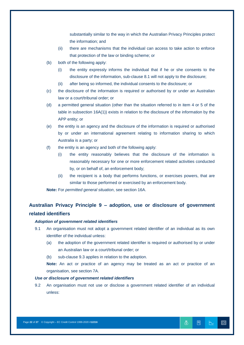substantially similar to the way in which the Australian Privacy Principles protect the information; and

- (ii) there are mechanisms that the individual can access to take action to enforce that protection of the law or binding scheme; or
- (b) both of the following apply:
	- (i) the entity expressly informs the individual that if he or she consents to the disclosure of the information, sub-clause 8.1 will not apply to the disclosure;
	- (ii) after being so informed, the individual consents to the disclosure; or
- (c) the disclosure of the information is required or authorised by or under an Australian law or a court/tribunal order; or
- (d) a permitted general situation (other than the situation referred to in item 4 or 5 of the table in subsection 16A(1)) exists in relation to the disclosure of the information by the APP entity; or
- (e) the entity is an agency and the disclosure of the information is required or authorised by or under an international agreement relating to information sharing to which Australia is a party; or
- (f) the entity is an agency and both of the following apply:
	- (i) the entity reasonably believes that the disclosure of the information is reasonably necessary for one or more enforcement related activities conducted by, or on behalf of, an enforcement body;
	- (ii) the recipient is a body that performs functions, or exercises powers, that are similar to those performed or exercised by an enforcement body.

**Note:** For *permitted general situation*, see section 16A.

## **Australian Privacy Principle 9 – adoption, use or disclosure of government related identifiers**

#### *Adoption of government related identifiers*

- 9.1 An organisation must not adopt a government related identifier of an individual as its own identifier of the individual unless:
	- (a) the adoption of the government related identifier is required or authorised by or under an Australian law or a court/tribunal order; or
	- (b) sub-clause 9.3 applies in relation to the adoption.

**Note:** An act or practice of an agency may be treated as an act or practice of an organisation, see section 7A.

#### *Use or disclosure of government related identifiers*

9.2 An organisation must not use or disclose a government related identifier of an individual unless: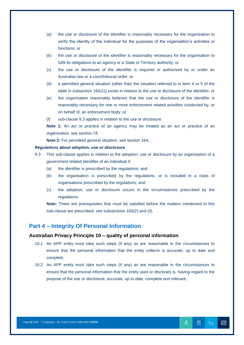- (a) the use or disclosure of the identifier is reasonably necessary for the organisation to verify the identity of the individual for the purposes of the organisation's activities or functions; or
- (b) the use or disclosure of the identifier is reasonably necessary for the organisation to fulfil its obligations to an agency or a State or Territory authority; or
- (c) the use or disclosure of the identifier is required or authorised by or under an Australian law or a court/tribunal order; or
- (d) a permitted general situation (other than the situation referred to in item 4 or 5 of the table in subsection 16A(1)) exists in relation to the use or disclosure of the identifier; or
- (e) the organisation reasonably believes that the use or disclosure of the identifier is reasonably necessary for one or more enforcement related activities conducted by, or on behalf of, an enforcement body; or
- (f) sub-clause 9.3 applies in relation to the use or disclosure.

**Note 1:** An act or practice of an agency may be treated as an act or practice of an organisation, see section 7A.

**Note 2:** For *permitted general situation*, see section 16A.

#### *Regulations about adoption, use or disclosure*

- 9.3 This sub-clause applies in relation to the adoption, use or disclosure by an organisation of a government related identifier of an individual if:
	- (a) the identifier is prescribed by the regulations; and
	- (b) the organisation is prescribed by the regulations, or is included in a class of organisations prescribed by the regulations; and
	- (c) the adoption, use or disclosure occurs in the circumstances prescribed by the regulations.

**Note:** There are prerequisites that must be satisfied before the matters mentioned in this sub-clause are prescribed, see subsections 100(2) and (3).

#### **Part 4 – Integrity Of Personal Information**

#### **Australian Privacy Principle 10 – quality of personal information**

- 10.1 An APP entity must take such steps (if any) as are reasonable in the circumstances to ensure that the personal information that the entity collects is accurate, up to date and complete.
- 10.2 An APP entity must take such steps (if any) as are reasonable in the circumstances to ensure that the personal information that the entity uses or discloses is, having regard to the purpose of the use or disclosure, accurate, up to date, complete and relevant.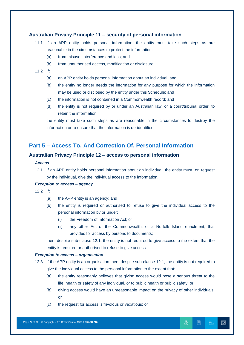#### **Australian Privacy Principle 11 – security of personal information**

- 11.1 If an APP entity holds personal information, the entity must take such steps as are reasonable in the circumstances to protect the information:
	- (a) from misuse, interference and loss; and
	- (b) from unauthorised access, modification or disclosure.
- 11.2 If:
	- (a) an APP entity holds personal information about an individual; and
	- (b) the entity no longer needs the information for any purpose for which the information may be used or disclosed by the entity under this Schedule; and
	- (c) the information is not contained in a Commonwealth record; and
	- (d) the entity is not required by or under an Australian law, or a court/tribunal order, to retain the information;

the entity must take such steps as are reasonable in the circumstances to destroy the information or to ensure that the information is de-identified.

#### **Part 5 – Access To, And Correction Of, Personal Information**

#### **Australian Privacy Principle 12 – access to personal information**

#### *Access*

12.1 If an APP entity holds personal information about an individual, the entity must, on request by the individual, give the individual access to the information.

#### *Exception to access – agency*

- 12.2 If:
	- (a) the APP entity is an agency; and
	- (b) the entity is required or authorised to refuse to give the individual access to the personal information by or under:
		- (i) the Freedom of Information Act; or
		- (ii) any other Act of the Commonwealth, or a Norfolk Island enactment, that provides for access by persons to documents;

then, despite sub-clause 12.1, the entity is not required to give access to the extent that the entity is required or authorised to refuse to give access.

#### *Exception to access – organisation*

- 12.3 If the APP entity is an organisation then, despite sub-clause 12.1, the entity is not required to give the individual access to the personal information to the extent that:
	- (a) the entity reasonably believes that giving access would pose a serious threat to the life, health or safety of any individual, or to public health or public safety; or
	- (b) giving access would have an unreasonable impact on the privacy of other individuals; or
	- (c) the request for access is frivolous or vexatious; or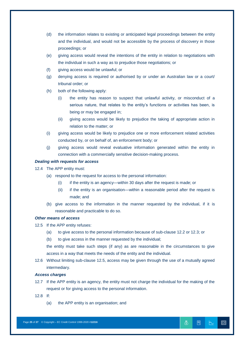- (d) the information relates to existing or anticipated legal proceedings between the entity and the individual, and would not be accessible by the process of discovery in those proceedings; or
- (e) giving access would reveal the intentions of the entity in relation to negotiations with the individual in such a way as to prejudice those negotiations; or
- (f) giving access would be unlawful; or
- (g) denying access is required or authorised by or under an Australian law or a court/ tribunal order; or
- (h) both of the following apply:
	- (i) the entity has reason to suspect that unlawful activity, or misconduct of a serious nature, that relates to the entity's functions or activities has been, is being or may be engaged in;
	- (ii) giving access would be likely to prejudice the taking of appropriate action in relation to the matter; or
- (i) giving access would be likely to prejudice one or more enforcement related activities conducted by, or on behalf of, an enforcement body; or
- (j) giving access would reveal evaluative information generated within the entity in connection with a commercially sensitive decision-making process.

#### *Dealing with requests for access*

- 12.4 The APP entity must:
	- (a) respond to the request for access to the personal information:
		- (i) if the entity is an agency—within 30 days after the request is made; or
		- (ii) if the entity is an organisation—within a reasonable period after the request is made; and
	- (b) give access to the information in the manner requested by the individual, if it is reasonable and practicable to do so.

#### *Other means of access*

- 12.5 If the APP entity refuses:
	- (a) to give access to the personal information because of sub-clause 12.2 or 12.3; or
	- (b) to give access in the manner requested by the individual;

the entity must take such steps (if any) as are reasonable in the circumstances to give access in a way that meets the needs of the entity and the individual.

12.6 Without limiting sub-clause 12.5, access may be given through the use of a mutually agreed intermediary.

#### *Access charges*

- 12.7 If the APP entity is an agency, the entity must not charge the individual for the making of the request or for giving access to the personal information.
- 12.8 If:
	- (a) the APP entity is an organisation; and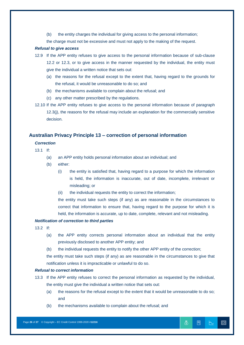(b) the entity charges the individual for giving access to the personal information; the charge must not be excessive and must not apply to the making of the request.

#### *Refusal to give access*

- 12.9 If the APP entity refuses to give access to the personal information because of sub-clause 12.2 or 12.3, or to give access in the manner requested by the individual, the entity must give the individual a written notice that sets out:
	- (a) the reasons for the refusal except to the extent that, having regard to the grounds for the refusal, it would be unreasonable to do so; and
	- (b) the mechanisms available to complain about the refusal; and
	- (c) any other matter prescribed by the regulations.
- 12.10 If the APP entity refuses to give access to the personal information because of paragraph 12.3(j), the reasons for the refusal may include an explanation for the commercially sensitive decision.

#### **Australian Privacy Principle 13 – correction of personal information**

#### *Correction*

- 13.1 If:
	- (a) an APP entity holds personal information about an individual; and
	- (b) either:
		- (i) the entity is satisfied that, having regard to a purpose for which the information is held, the information is inaccurate, out of date, incomplete, irrelevant or misleading; or
		- (ii) the individual requests the entity to correct the information;

the entity must take such steps (if any) as are reasonable in the circumstances to correct that information to ensure that, having regard to the purpose for which it is held, the information is accurate, up to date, complete, relevant and not misleading.

#### *Notification of correction to third parties*

- 13.2 If:
	- (a) the APP entity corrects personal information about an individual that the entity previously disclosed to another APP entity; and
	- (b) the individual requests the entity to notify the other APP entity of the correction;

the entity must take such steps (if any) as are reasonable in the circumstances to give that notification unless it is impracticable or unlawful to do so.

#### *Refusal to correct information*

- 13.3 If the APP entity refuses to correct the personal information as requested by the individual, the entity must give the individual a written notice that sets out:
	- (a) the reasons for the refusal except to the extent that it would be unreasonable to do so; and
	- (b) the mechanisms available to complain about the refusal; and